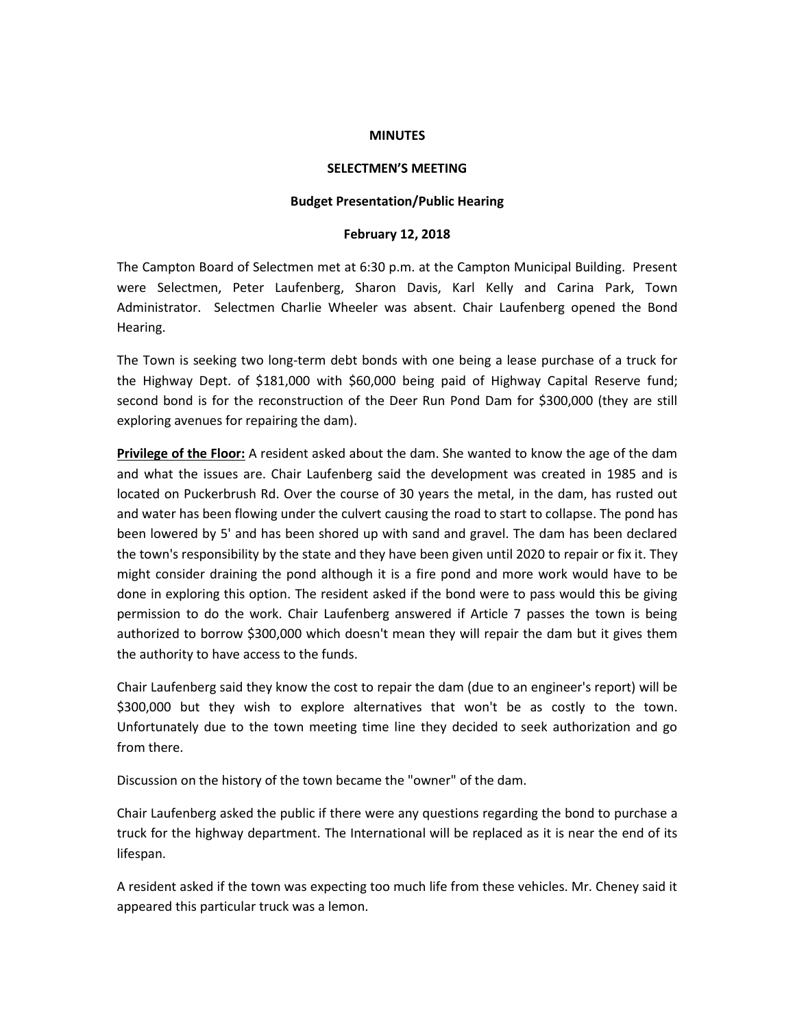### **MINUTES**

## **SELECTMEN'S MEETING**

## **Budget Presentation/Public Hearing**

## **February 12, 2018**

The Campton Board of Selectmen met at 6:30 p.m. at the Campton Municipal Building. Present were Selectmen, Peter Laufenberg, Sharon Davis, Karl Kelly and Carina Park, Town Administrator. Selectmen Charlie Wheeler was absent. Chair Laufenberg opened the Bond Hearing.

The Town is seeking two long-term debt bonds with one being a lease purchase of a truck for the Highway Dept. of \$181,000 with \$60,000 being paid of Highway Capital Reserve fund; second bond is for the reconstruction of the Deer Run Pond Dam for \$300,000 (they are still exploring avenues for repairing the dam).

**Privilege of the Floor:** A resident asked about the dam. She wanted to know the age of the dam and what the issues are. Chair Laufenberg said the development was created in 1985 and is located on Puckerbrush Rd. Over the course of 30 years the metal, in the dam, has rusted out and water has been flowing under the culvert causing the road to start to collapse. The pond has been lowered by 5' and has been shored up with sand and gravel. The dam has been declared the town's responsibility by the state and they have been given until 2020 to repair or fix it. They might consider draining the pond although it is a fire pond and more work would have to be done in exploring this option. The resident asked if the bond were to pass would this be giving permission to do the work. Chair Laufenberg answered if Article 7 passes the town is being authorized to borrow \$300,000 which doesn't mean they will repair the dam but it gives them the authority to have access to the funds.

Chair Laufenberg said they know the cost to repair the dam (due to an engineer's report) will be \$300,000 but they wish to explore alternatives that won't be as costly to the town. Unfortunately due to the town meeting time line they decided to seek authorization and go from there.

Discussion on the history of the town became the "owner" of the dam.

Chair Laufenberg asked the public if there were any questions regarding the bond to purchase a truck for the highway department. The International will be replaced as it is near the end of its lifespan.

A resident asked if the town was expecting too much life from these vehicles. Mr. Cheney said it appeared this particular truck was a lemon.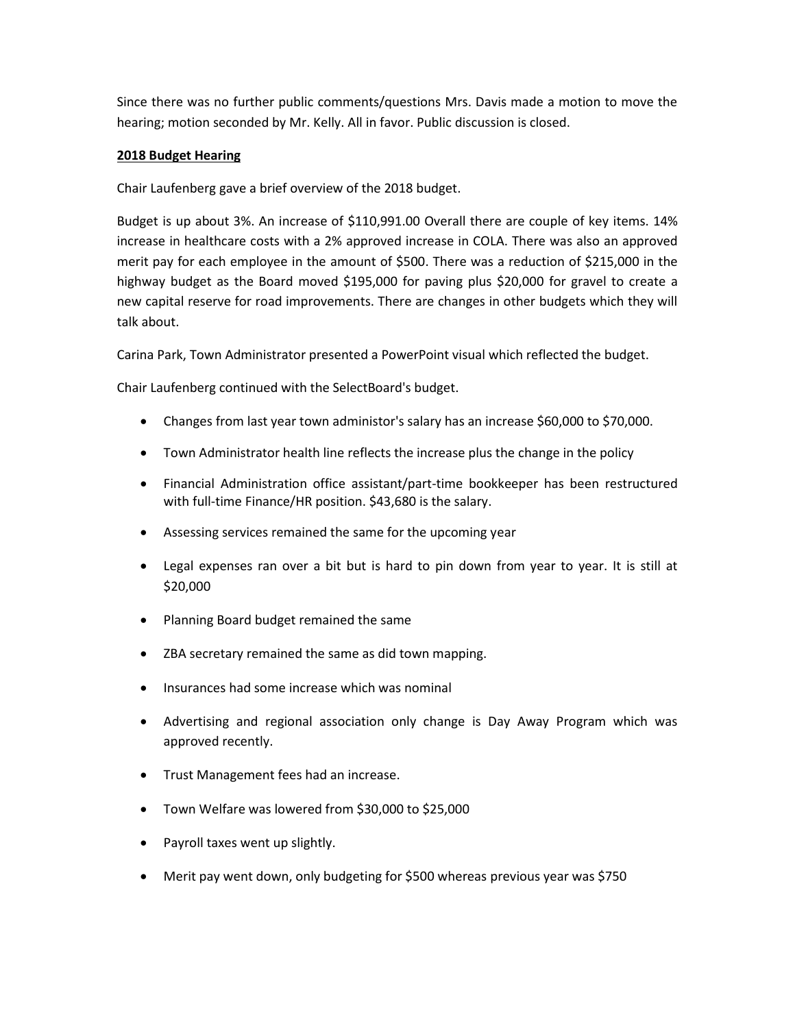Since there was no further public comments/questions Mrs. Davis made a motion to move the hearing; motion seconded by Mr. Kelly. All in favor. Public discussion is closed.

# **2018 Budget Hearing**

Chair Laufenberg gave a brief overview of the 2018 budget.

Budget is up about 3%. An increase of \$110,991.00 Overall there are couple of key items. 14% increase in healthcare costs with a 2% approved increase in COLA. There was also an approved merit pay for each employee in the amount of \$500. There was a reduction of \$215,000 in the highway budget as the Board moved \$195,000 for paving plus \$20,000 for gravel to create a new capital reserve for road improvements. There are changes in other budgets which they will talk about.

Carina Park, Town Administrator presented a PowerPoint visual which reflected the budget.

Chair Laufenberg continued with the SelectBoard's budget.

- Changes from last year town administor's salary has an increase \$60,000 to \$70,000.
- Town Administrator health line reflects the increase plus the change in the policy
- Financial Administration office assistant/part-time bookkeeper has been restructured with full-time Finance/HR position. \$43,680 is the salary.
- Assessing services remained the same for the upcoming year
- Legal expenses ran over a bit but is hard to pin down from year to year. It is still at \$20,000
- Planning Board budget remained the same
- ZBA secretary remained the same as did town mapping.
- Insurances had some increase which was nominal
- Advertising and regional association only change is Day Away Program which was approved recently.
- Trust Management fees had an increase.
- Town Welfare was lowered from \$30,000 to \$25,000
- Payroll taxes went up slightly.
- Merit pay went down, only budgeting for \$500 whereas previous year was \$750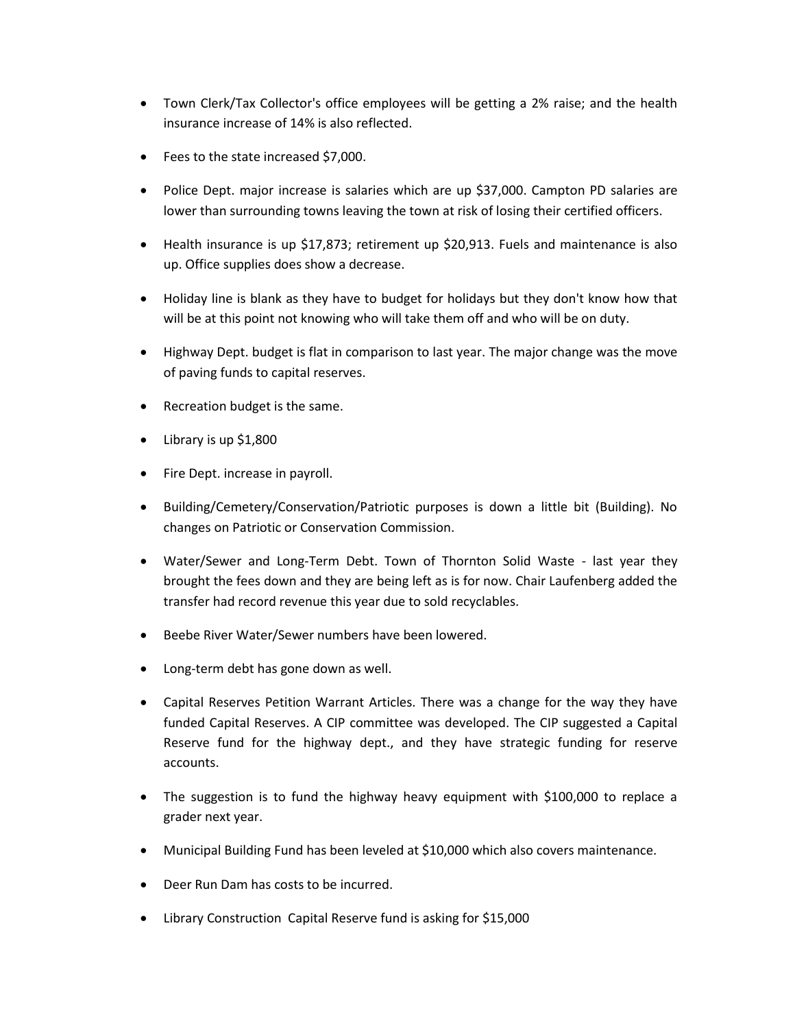- Town Clerk/Tax Collector's office employees will be getting a 2% raise; and the health insurance increase of 14% is also reflected.
- Fees to the state increased \$7,000.
- Police Dept. major increase is salaries which are up \$37,000. Campton PD salaries are lower than surrounding towns leaving the town at risk of losing their certified officers.
- Health insurance is up \$17,873; retirement up \$20,913. Fuels and maintenance is also up. Office supplies does show a decrease.
- Holiday line is blank as they have to budget for holidays but they don't know how that will be at this point not knowing who will take them off and who will be on duty.
- Highway Dept. budget is flat in comparison to last year. The major change was the move of paving funds to capital reserves.
- Recreation budget is the same.
- Library is up \$1,800
- Fire Dept. increase in payroll.
- Building/Cemetery/Conservation/Patriotic purposes is down a little bit (Building). No changes on Patriotic or Conservation Commission.
- Water/Sewer and Long-Term Debt. Town of Thornton Solid Waste last year they brought the fees down and they are being left as is for now. Chair Laufenberg added the transfer had record revenue this year due to sold recyclables.
- **•** Beebe River Water/Sewer numbers have been lowered.
- Long-term debt has gone down as well.
- Capital Reserves Petition Warrant Articles. There was a change for the way they have funded Capital Reserves. A CIP committee was developed. The CIP suggested a Capital Reserve fund for the highway dept., and they have strategic funding for reserve accounts.
- The suggestion is to fund the highway heavy equipment with \$100,000 to replace a grader next year.
- Municipal Building Fund has been leveled at \$10,000 which also covers maintenance.
- Deer Run Dam has costs to be incurred.
- Library Construction Capital Reserve fund is asking for \$15,000